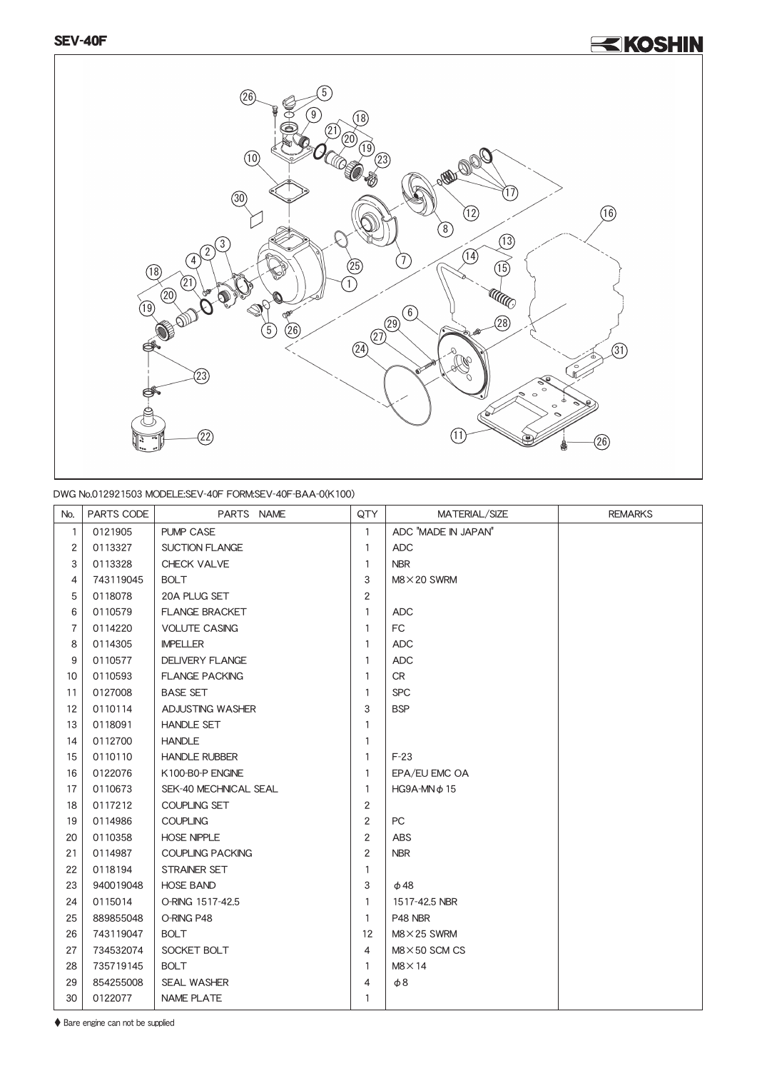## <u><KOSHIN</u>



## DWG No.012921503 MODELE:SEV-40F FORM:SEV-40F-BAA-0(K100)

| No.                     | PARTS CODE | PARTS NAME              | QTY            | MATERIAL/SIZE         | <b>REMARKS</b> |
|-------------------------|------------|-------------------------|----------------|-----------------------|----------------|
| $\mathbf{1}$            | 0121905    | <b>PUMP CASE</b>        | $\mathbf{1}$   | ADC "MADE IN JAPAN"   |                |
| $\overline{c}$          | 0113327    | <b>SUCTION FLANGE</b>   | $\mathbf{1}$   | <b>ADC</b>            |                |
| 3                       | 0113328    | CHECK VALVE             | 1              | <b>NBR</b>            |                |
| $\overline{\mathbf{4}}$ | 743119045  | <b>BOLT</b>             | 3              | $M8 \times 20$ SWRM   |                |
| 5                       | 0118078    | 20A PLUG SET            | $\overline{2}$ |                       |                |
| 6                       | 0110579    | <b>FLANGE BRACKET</b>   | 1              | <b>ADC</b>            |                |
| $\overline{7}$          | 0114220    | <b>VOLUTE CASING</b>    | $\mathbf{1}$   | FC                    |                |
| 8                       | 0114305    | <b>IMPELLER</b>         | $\mathbf{1}$   | <b>ADC</b>            |                |
| 9                       | 0110577    | <b>DELIVERY FLANGE</b>  | $\mathbf{1}$   | <b>ADC</b>            |                |
| 10                      | 0110593    | <b>FLANGE PACKING</b>   | 1              | <b>CR</b>             |                |
| 11                      | 0127008    | <b>BASE SET</b>         | $\mathbf{1}$   | <b>SPC</b>            |                |
| 12                      | 0110114    | ADJUSTING WASHER        | 3              | <b>BSP</b>            |                |
| 13                      | 0118091    | <b>HANDLE SET</b>       | $\mathbf{1}$   |                       |                |
| 14                      | 0112700    | <b>HANDLE</b>           | 1              |                       |                |
| 15                      | 0110110    | <b>HANDLE RUBBER</b>    | $\mathbf{1}$   | $F-23$                |                |
| 16                      | 0122076    | K100-B0-P ENGINE        | 1              | EPA/EU EMC OA         |                |
| 17                      | 0110673    | SEK-40 MECHNICAL SEAL   | $\mathbf{1}$   | $HG9A-MNϕ15$          |                |
| 18                      | 0117212    | <b>COUPLING SET</b>     | $\overline{2}$ |                       |                |
| 19                      | 0114986    | <b>COUPLING</b>         | 2              | PC                    |                |
| 20                      | 0110358    | <b>HOSE NIPPLE</b>      | $\overline{2}$ | <b>ABS</b>            |                |
| 21                      | 0114987    | <b>COUPLING PACKING</b> | 2              | <b>NBR</b>            |                |
| 22                      | 0118194    | STRAINER SET            | $\mathbf{1}$   |                       |                |
| 23                      | 940019048  | <b>HOSE BAND</b>        | 3              | $\phi$ 48             |                |
| 24                      | 0115014    | O-RING 1517-42.5        | $\mathbf{1}$   | 1517-42.5 NBR         |                |
| 25                      | 889855048  | O-RING P48              | $\mathbf{1}$   | P48 NBR               |                |
| 26                      | 743119047  | <b>BOLT</b>             | 12             | $M8 \times 25$ SWRM   |                |
| 27                      | 734532074  | SOCKET BOLT             | $\overline{4}$ | $M8 \times 50$ SCM CS |                |
| 28                      | 735719145  | <b>BOLT</b>             | $\mathbf{1}$   | $M8 \times 14$        |                |
| 29                      | 854255008  | <b>SEAL WASHER</b>      | 4              | $\phi$ 8              |                |
| 30                      | 0122077    | <b>NAME PLATE</b>       | 1              |                       |                |

♦ Bare engine can not be supplied